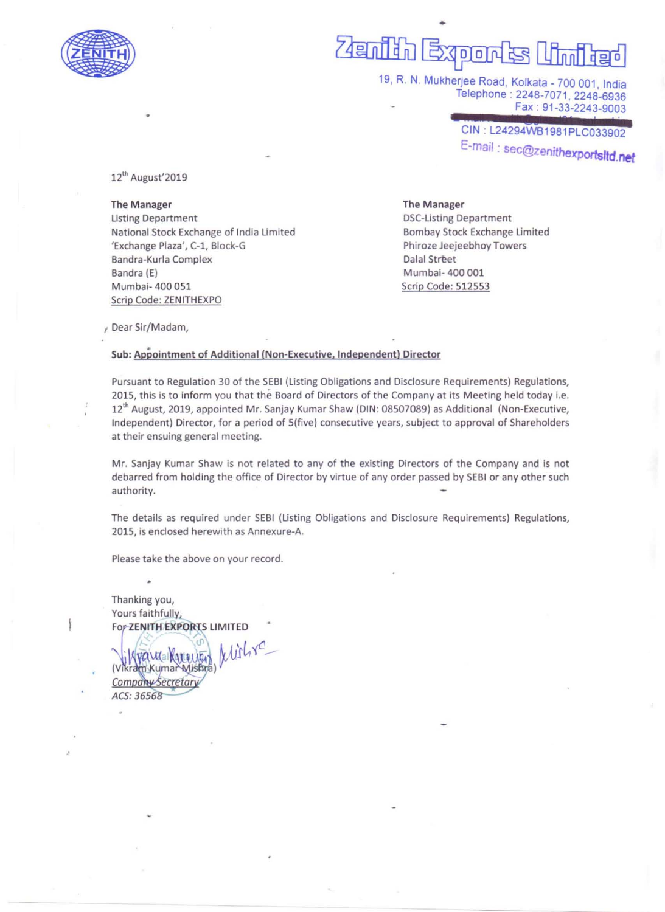

## nidh Expon<sup>t</sup>s Umigad

•

Telephone: 2248-7071, 2248-6936 Fax : 91-33-2243-9003

**Oderesorium antiqu** CIN : L24294WB1981PLC033902 E-mail : sec@zenithexportsltd.net

12'h August'2019

•

The Manager Listing Department National Stock Exchange of India Limited 'Exchange Plaza', C-1, Block-G Bandra-Kurla Complex Bandra (E) Mumbai- 400 051 Scrip Code: ZENITHEXPO

## The Manager

DSC-Listing Department Bombay Stock Exchange Limited Phiroze Jeejeebhoy Towers Dalal Street Mumbai- 400 001 Scrip Code: 512553

, Dear Sir/Madam,

## Sub: Appointment of Additional (Non-Executive, Independent) Director

Pursuant to Regulation 30 of the SEBI (Listing Obligations and Disclosure Requirements) Regulations, 2015, this is to inform you that the Board of Directors of the Company at its Meeting held today i.e. 12'" August, 2019, appointed Mr. Sanjay Kumar Shaw (DIN: 08507089) as Additional (Non-Executive, Independent) Director, for a period of 5(five) consecutive years, subject to approval of Shareholders at their ensuing general meeting.

Mr, Sanjay Kumar Shaw is not related to any of the existing Directors of the Company and is not debarred from holding the office of Director by virtue of any order passed by SEBI or any other such authority.

The details as required under SEBI (Listing Obligations and Disclosure Requirements) Regulations, 2015, is enclosed herewith as Annexure-A.

Please take the above on your record.

Thanking you, Yours faithfully, For ZENITH EXPORTS LIMITED

Wishre m Kumar Misbra Company Secretary ACS: 36568

•